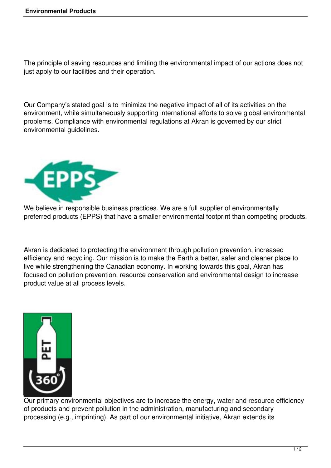The principle of saving resources and limiting the environmental impact of our actions does not just apply to our facilities and their operation.

Our Company's stated goal is to minimize the negative impact of all of its activities on the environment, while simultaneously supporting international efforts to solve global environmental problems. Compliance with environmental regulations at Akran is governed by our strict environmental guidelines.



We believe in responsible business practices. We are a full supplier of environmentally preferred products (EPPS) that have a smaller environmental footprint than competing products.

Akran is dedicated to protecting the environment through pollution prevention, increased efficiency and recycling. Our mission is to make the Earth a better, safer and cleaner place to live while strengthening the Canadian economy. In working towards this goal, Akran has focused on pollution prevention, resource conservation and environmental design to increase product value at all process levels.



Our primary environmental objectives are to increase the energy, water and resource efficiency of products and prevent pollution in the administration, manufacturing and secondary processing (e.g., imprinting). As part of our environmental initiative, Akran extends its